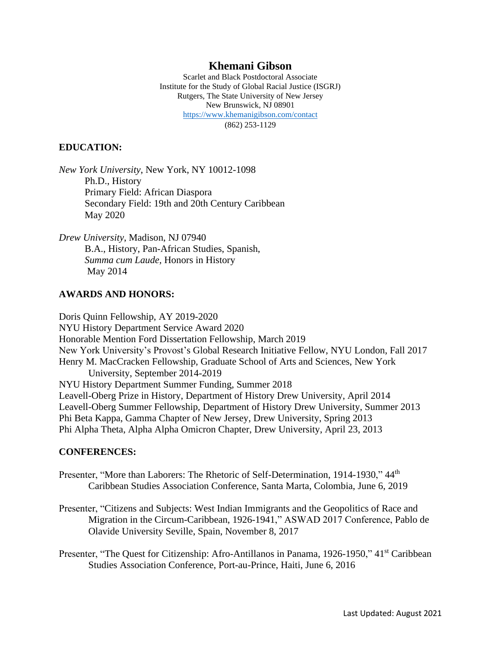# **Khemani Gibson**

Scarlet and Black Postdoctoral Associate Institute for the Study of Global Racial Justice (ISGRJ) Rutgers, The State University of New Jersey New Brunswick, NJ 08901 <https://www.khemanigibson.com/contact> (862) 253-1129

#### **EDUCATION:**

*New York University*, New York, NY 10012-1098 Ph.D., History Primary Field: African Diaspora Secondary Field: 19th and 20th Century Caribbean May 2020

*Drew University*, Madison, NJ 07940 B.A., History, Pan-African Studies, Spanish, *Summa cum Laude,* Honors in History May 2014

#### **AWARDS AND HONORS:**

Doris Quinn Fellowship, AY 2019-2020 NYU History Department Service Award 2020 Honorable Mention Ford Dissertation Fellowship, March 2019 New York University's Provost's Global Research Initiative Fellow, NYU London, Fall 2017 Henry M. MacCracken Fellowship, Graduate School of Arts and Sciences, New York University, September 2014-2019 NYU History Department Summer Funding, Summer 2018 Leavell-Oberg Prize in History, Department of History Drew University, April 2014 Leavell-Oberg Summer Fellowship, Department of History Drew University, Summer 2013 Phi Beta Kappa, Gamma Chapter of New Jersey, Drew University, Spring 2013 Phi Alpha Theta, Alpha Alpha Omicron Chapter, Drew University, April 23, 2013

#### **CONFERENCES:**

- Presenter, "More than Laborers: The Rhetoric of Self-Determination, 1914-1930," 44<sup>th</sup> Caribbean Studies Association Conference, Santa Marta, Colombia, June 6, 2019
- Presenter, "Citizens and Subjects: West Indian Immigrants and the Geopolitics of Race and Migration in the Circum-Caribbean, 1926-1941," ASWAD 2017 Conference, Pablo de Olavide University Seville, Spain, November 8, 2017

Presenter, "The Quest for Citizenship: Afro-Antillanos in Panama, 1926-1950," 41<sup>st</sup> Caribbean Studies Association Conference, Port-au-Prince, Haiti, June 6, 2016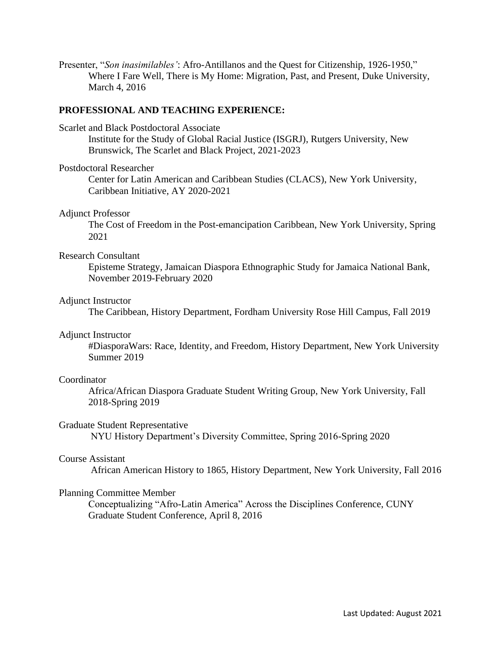Presenter, "*Son inasimilables'*: Afro-Antillanos and the Quest for Citizenship, 1926-1950," Where I Fare Well, There is My Home: Migration, Past, and Present, Duke University, March 4, 2016

### **PROFESSIONAL AND TEACHING EXPERIENCE:**

Scarlet and Black Postdoctoral Associate

Institute for the Study of Global Racial Justice (ISGRJ), Rutgers University, New Brunswick, The Scarlet and Black Project, 2021-2023

#### Postdoctoral Researcher

Center for Latin American and Caribbean Studies (CLACS), New York University, Caribbean Initiative, AY 2020-2021

### Adjunct Professor

The Cost of Freedom in the Post-emancipation Caribbean, New York University, Spring 2021

### Research Consultant

Episteme Strategy, Jamaican Diaspora Ethnographic Study for Jamaica National Bank, November 2019-February 2020

### Adjunct Instructor

The Caribbean, History Department, Fordham University Rose Hill Campus, Fall 2019

# Adjunct Instructor

#DiasporaWars: Race, Identity, and Freedom, History Department, New York University Summer 2019

# **Coordinator**

 Africa/African Diaspora Graduate Student Writing Group, New York University, Fall 2018-Spring 2019

# Graduate Student Representative

NYU History Department's Diversity Committee, Spring 2016-Spring 2020

#### Course Assistant

African American History to 1865, History Department, New York University, Fall 2016

# Planning Committee Member

Conceptualizing "Afro-Latin America" Across the Disciplines Conference, CUNY Graduate Student Conference, April 8, 2016